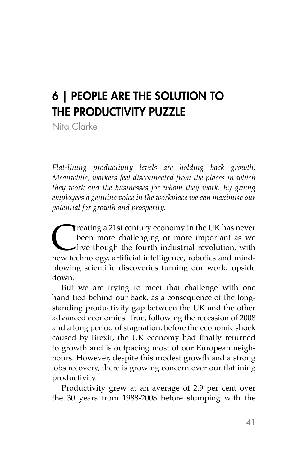# 6 | PEOPLE ARE THE SOLUTION TO THE PRODUCTIVITY PUZZLE

Nita Clarke

*Flat-lining productivity levels are holding back growth. Meanwhile, workers feel disconnected from the places in which they work and the businesses for whom they work. By giving employees a genuine voice in the workplace we can maximise our potential for growth and prosperity.*

**C** reating a 21st century economy in the UK has never<br>been more challenging or more important as we<br>live though the fourth industrial revolution, with<br>new technology, artificial intelligence, robotics and mindbeen more challenging or more important as we live though the fourth industrial revolution, with new technology, artificial intelligence, robotics and mindblowing scientific discoveries turning our world upside down.

But we are trying to meet that challenge with one hand tied behind our back, as a consequence of the longstanding productivity gap between the UK and the other advanced economies. True, following the recession of 2008 and a long period of stagnation, before the economic shock caused by Brexit, the UK economy had finally returned to growth and is outpacing most of our European neighbours. However, despite this modest growth and a strong jobs recovery, there is growing concern over our flatlining productivity.

Productivity grew at an average of 2.9 per cent over the 30 years from 1988-2008 before slumping with the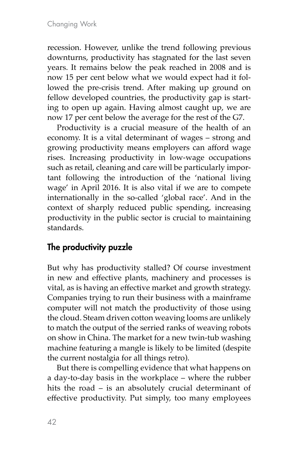recession. However, unlike the trend following previous downturns, productivity has stagnated for the last seven years. It remains below the peak reached in 2008 and is now 15 per cent below what we would expect had it followed the pre-crisis trend. After making up ground on fellow developed countries, the productivity gap is starting to open up again. Having almost caught up, we are now 17 per cent below the average for the rest of the G7.

Productivity is a crucial measure of the health of an economy. It is a vital determinant of wages – strong and growing productivity means employers can afford wage rises. Increasing productivity in low-wage occupations such as retail, cleaning and care will be particularly important following the introduction of the 'national living wage' in April 2016. It is also vital if we are to compete internationally in the so-called 'global race'. And in the context of sharply reduced public spending, increasing productivity in the public sector is crucial to maintaining standards.

## The productivity puzzle

But why has productivity stalled? Of course investment in new and effective plants, machinery and processes is vital, as is having an effective market and growth strategy. Companies trying to run their business with a mainframe computer will not match the productivity of those using the cloud. Steam driven cotton weaving looms are unlikely to match the output of the serried ranks of weaving robots on show in China. The market for a new twin-tub washing machine featuring a mangle is likely to be limited (despite the current nostalgia for all things retro).

But there is compelling evidence that what happens on a day-to-day basis in the workplace – where the rubber hits the road – is an absolutely crucial determinant of effective productivity. Put simply, too many employees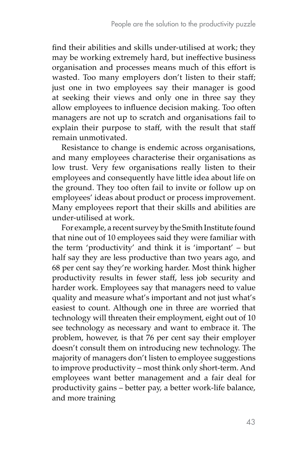find their abilities and skills under-utilised at work; they may be working extremely hard, but ineffective business organisation and processes means much of this effort is wasted. Too many employers don't listen to their staff; just one in two employees say their manager is good at seeking their views and only one in three say they allow employees to influence decision making. Too often managers are not up to scratch and organisations fail to explain their purpose to staff, with the result that staff remain unmotivated.

Resistance to change is endemic across organisations, and many employees characterise their organisations as low trust. Very few organisations really listen to their employees and consequently have little idea about life on the ground. They too often fail to invite or follow up on employees' ideas about product or process improvement. Many employees report that their skills and abilities are under-utilised at work.

For example, a recent survey by the Smith Institute found that nine out of 10 employees said they were familiar with the term 'productivity' and think it is 'important' – but half say they are less productive than two years ago, and 68 per cent say they're working harder. Most think higher productivity results in fewer staff, less job security and harder work. Employees say that managers need to value quality and measure what's important and not just what's easiest to count. Although one in three are worried that technology will threaten their employment, eight out of 10 see technology as necessary and want to embrace it. The problem, however, is that 76 per cent say their employer doesn't consult them on introducing new technology. The majority of managers don't listen to employee suggestions to improve productivity – most think only short-term. And employees want better management and a fair deal for productivity gains – better pay, a better work-life balance, and more training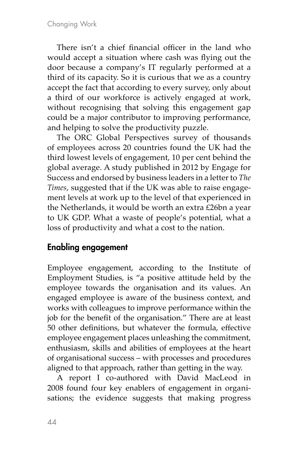There isn't a chief financial officer in the land who would accept a situation where cash was flying out the door because a company's IT regularly performed at a third of its capacity. So it is curious that we as a country accept the fact that according to every survey, only about a third of our workforce is actively engaged at work, without recognising that solving this engagement gap could be a major contributor to improving performance, and helping to solve the productivity puzzle.

The ORC Global Perspectives survey of thousands of employees across 20 countries found the UK had the third lowest levels of engagement, 10 per cent behind the global average. A study published in 2012 by Engage for Success and endorsed by business leaders in a letter to *The Times*, suggested that if the UK was able to raise engagement levels at work up to the level of that experienced in the Netherlands, it would be worth an extra £26bn a year to UK GDP. What a waste of people's potential, what a loss of productivity and what a cost to the nation.

## Enabling engagement

Employee engagement, according to the Institute of Employment Studies, is "a positive attitude held by the employee towards the organisation and its values. An engaged employee is aware of the business context, and works with colleagues to improve performance within the job for the benefit of the organisation." There are at least 50 other definitions, but whatever the formula, effective employee engagement places unleashing the commitment, enthusiasm, skills and abilities of employees at the heart of organisational success – with processes and procedures aligned to that approach, rather than getting in the way.

A report I co-authored with David MacLeod in 2008 found four key enablers of engagement in organisations; the evidence suggests that making progress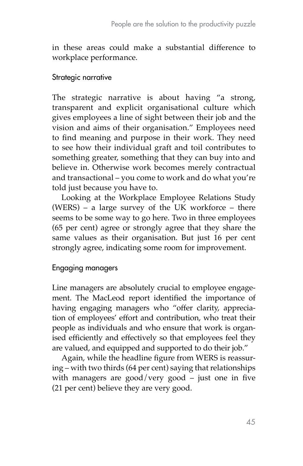in these areas could make a substantial difference to workplace performance.

#### Strategic narrative

The strategic narrative is about having "a strong, transparent and explicit organisational culture which gives employees a line of sight between their job and the vision and aims of their organisation." Employees need to find meaning and purpose in their work. They need to see how their individual graft and toil contributes to something greater, something that they can buy into and believe in. Otherwise work becomes merely contractual and transactional – you come to work and do what you're told just because you have to.

Looking at the Workplace Employee Relations Study (WERS) – a large survey of the UK workforce – there seems to be some way to go here. Two in three employees (65 per cent) agree or strongly agree that they share the same values as their organisation. But just 16 per cent strongly agree, indicating some room for improvement.

### Engaging managers

Line managers are absolutely crucial to employee engagement. The MacLeod report identified the importance of having engaging managers who "offer clarity, appreciation of employees' effort and contribution, who treat their people as individuals and who ensure that work is organised efficiently and effectively so that employees feel they are valued, and equipped and supported to do their job."

Again, while the headline figure from WERS is reassuring – with two thirds (64 per cent) saying that relationships with managers are good/very good – just one in five (21 per cent) believe they are very good.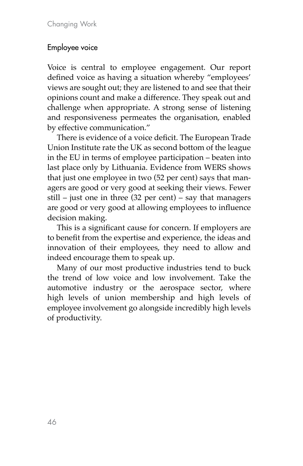### Employee voice

Voice is central to employee engagement. Our report defined voice as having a situation whereby "employees' views are sought out; they are listened to and see that their opinions count and make a difference. They speak out and challenge when appropriate. A strong sense of listening and responsiveness permeates the organisation, enabled by effective communication."

There is evidence of a voice deficit. The European Trade Union Institute rate the UK as second bottom of the league in the EU in terms of employee participation – beaten into last place only by Lithuania. Evidence from WERS shows that just one employee in two (52 per cent) says that managers are good or very good at seeking their views. Fewer still – just one in three (32 per cent) – say that managers are good or very good at allowing employees to influence decision making.

This is a significant cause for concern. If employers are to benefit from the expertise and experience, the ideas and innovation of their employees, they need to allow and indeed encourage them to speak up.

Many of our most productive industries tend to buck the trend of low voice and low involvement. Take the automotive industry or the aerospace sector, where high levels of union membership and high levels of employee involvement go alongside incredibly high levels of productivity.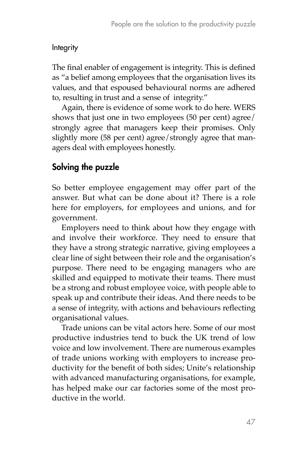#### Integrity

The final enabler of engagement is integrity. This is defined as "a belief among employees that the organisation lives its values, and that espoused behavioural norms are adhered to, resulting in trust and a sense of integrity."

Again, there is evidence of some work to do here. WERS shows that just one in two employees (50 per cent) agree/ strongly agree that managers keep their promises. Only slightly more (58 per cent) agree/strongly agree that managers deal with employees honestly.

## Solving the puzzle

So better employee engagement may offer part of the answer. But what can be done about it? There is a role here for employers, for employees and unions, and for government.

Employers need to think about how they engage with and involve their workforce. They need to ensure that they have a strong strategic narrative, giving employees a clear line of sight between their role and the organisation's purpose. There need to be engaging managers who are skilled and equipped to motivate their teams. There must be a strong and robust employee voice, with people able to speak up and contribute their ideas. And there needs to be a sense of integrity, with actions and behaviours reflecting organisational values.

Trade unions can be vital actors here. Some of our most productive industries tend to buck the UK trend of low voice and low involvement. There are numerous examples of trade unions working with employers to increase productivity for the benefit of both sides; Unite's relationship with advanced manufacturing organisations, for example, has helped make our car factories some of the most productive in the world.